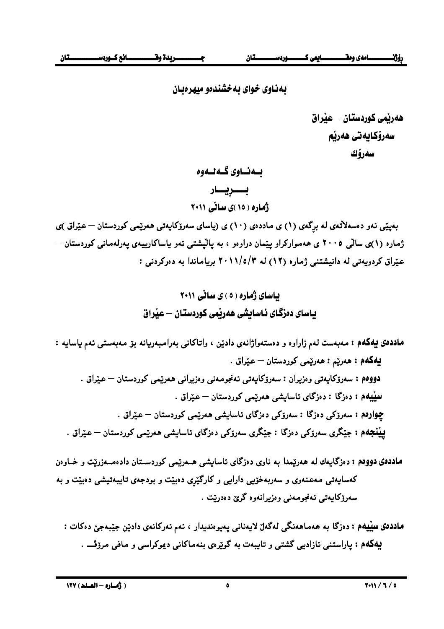بهناوی خوای به خشندهو میهر دیان

بــەنــاوى گــەنــەوە بـــــريــــار ژهاره ( ۱۵ )ی سالي ۲۰۱۱

بهیپی نهو دهسهلاتمی له برگمی (۱) ی ماددهی (۱۰) ی (پاسای سهرۆکاپهتی ههریمی کوردستان – عیراق )ی ژماره (۱)ی سالّی ۲۰۰۵ ی ههموارکراو ییّمان دراوهو ، به پالیشتی ئهو پاساکارییهی پهرلهمانی کوردستان — عیّراق کردویهتی له دانیشتنی ژماره (١٢) له ٢٠١١/٥/٣ بریاماندا به دهرکردنی :

ماددهی پهکهم : مەبەست لەم زاراوه و دەستەواژانەی دادێن ، واتاکانی بەرامبەريانە بۆ مەبەستى ئەم ياسايە : بيهکهم : هەريم : هەريمي کوردستان - عيراق . <mark>دووەم :</mark> سەرۆكاپەتى وەزيران : سەرۆكاپەتى ئەنجومەنى وەزيرانى ھەرێمى كوردستان — عێراق . سپیپهم : دەزگا : دەزگاي ئاسايشى ھەرتيمى كوردستان — عـێراق . چوارەم : سەرۆكى دەزگا : سەرۆكى دەزگاي ئاسايشى ھەرپىمى كوردستان — عيراق . **بینجهم : ج**یگری سەرۆکی دەزگا : جیکری سەرۆکی دەزگای ئاسايشى ھەریمی کوردستان — عیراق .

ماددهی دووهم : دهزگایهك له همرییمدا به ناوی دهزگای ئاسایشی هــهرییمی كوردســتان دادهمــهزریت و خــاوهن کهسایهتی مهعنهوی و سهربهخوّیی دارایی و کارگیّری دهبیّت و بودجهی تایبهتیشی دهبیّت و به سەرۆكايەتى ئەنجومەنى وەزىرانەوە گرێ دەدرێت .

ماددهی سپیهم : دهزگا به ههماههنگی لهگهلٌ لایهنانی پهیوهندیدار ، ئهم ئهرکانهی دادین جیبهجیؒ دهکات : پهکهم : پاراستنی نازادیی گشتی و تایبهت به گویرهی بنهماکانی دیموکراسی و مافی مرزڤ .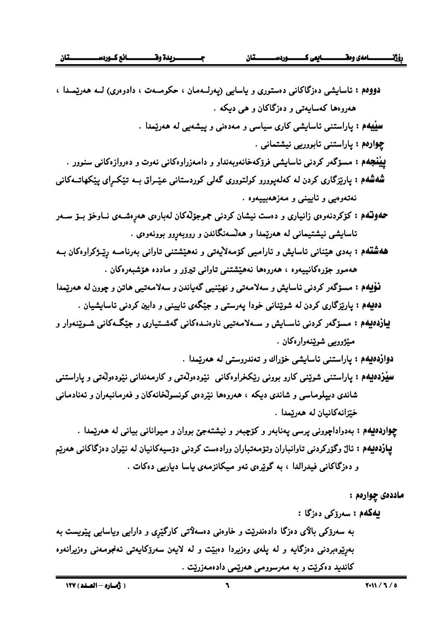| <mark>دووهم :</mark> ئاسایشی دەزگاکانی دەستوری و یاسایی (پەرلــەمان ، حکومــەت ، دادوەری) لــە ھەرێمــدا ،           |
|----------------------------------------------------------------------------------------------------------------------|
| همروهها کهسایهتی و دهزگاکان و هی دیکه .                                                                              |
| <b>سپیبهم :</b> پاراستنی ناسایشی کاری سیاسی و مهدهنی و پیشهیی له ههریمدا .                                           |
| چوارەم : پاراستنى ئابوورىي نيشتمانى .                                                                                |
| <b>پینجهم :</b> مسۆگەر کردنی ئاسایشی فرۆکەخانەوبەنداو و دامەزراوەکانی نەوت و دەروازەکانی سنوور .                     |
| <b>شفشهم : پ</b> ارێزگاری کردن له کهلهپوورو کولتووری گهلی کوردستانی عیّــراق بــه تی٘کــپای پی٘کهاتــهکانی           |
| نەتەوەيى و ئايينى و مەزھەبييەوە .                                                                                    |
| <b>حمونشهم :</b> کۆکردنەوەی زانیاری و دەست نیشان کردنی جموجۆلّەکان لەبارەی ھەرِەشــەی نــاوخۆ بــۆ ســەر             |
| ئاسایشی نیشتیمانی له هەرپمدا و هەلسەنگاندن و رووبەړوو بوونەوەی .                                                     |
| <b>ههشتهم :</b> بهدی هیّنانی ئاسایش و ئارامیی کۆمەلاّیەتی و نەهی٘شتنی تاوانی بەرنامــه ڕێـژکراوەکان بــه             |
| ههموو جۆرەكانييەوە ، هەروەھا نەھێشتنى تاوانى تيرۆر و ماددە ھۆشبەرەكان .                                              |
| <b>نـْوْلِيهُم :</b> مسۆگەر كردنى ئاسايش و سەلامەتى و نهێنيى گەياندن و سەلامەتيى ھاتن و چوون لە ھەرێمدا              |
| <b>دهیهم :</b> پارێزگاری کردن له شوێنانی خودا پهرستی و جێگهی نایینی و دابین کردنی ناسایشیان .                        |
| <b>لیازدهیهم :</b> مسۆگەر کردنی ئاســایش و ســهلامەتیبی ناوەنــدەکانی گەشــتیاری و جێگــهکانی شــوێنەوار و           |
| مينژوويى شويننەوارەكان .                                                                                             |
| <b>دوازدهیهم :</b> پاراستنی ئاسایشی خۆراك و تەندروستی له هەرێمدا .                                                   |
| <mark>سینزدهیهم :</mark> پاراستنی شوتینی کارو بوونی رتیکخراوهکانی  نیّودهولّهتی و کارمهندانی نیّودهولّهتی و پاراستنی |
| شاندی دیپلوماسی و شاندی دیکه ، هەروەها نی٘ردەی کونسوڵخانەکان و فەرمانبەران و ئەنادمانی                               |
| خێزانهكانيان له هەرێمدا .                                                                                            |
| چواردهیهم : بهدواداچوونی پرسی پهنابهر و کۆچبهر و نیشتهجێ بووان و میوانانی بیانی له ههرێمدا .                         |
| <b>پیازدهیهم :</b> ئالٌ وگۆركردنى تاوانباران وتۆمەتباران ورادەست كردنى دۆسيەكانيان لە نێوان دەزگاكانى ھەرێم          |
| و دەزگاكانى فيدرالدا ، بە گوێرەي ئەو مىكانزمەي ياسا ديارىپى دەكات .                                                  |
| ماددەى چوارەم :                                                                                                      |
| <b>يەكەم :</b> سەرۆك <sub>ى</sub> دەزگا :                                                                            |
| به سهرۆکی بالای دەزگا دادەندریت و خاوەنی دەسەلاتی کارگیری و دارایبی ویاسایپی یینویست به                              |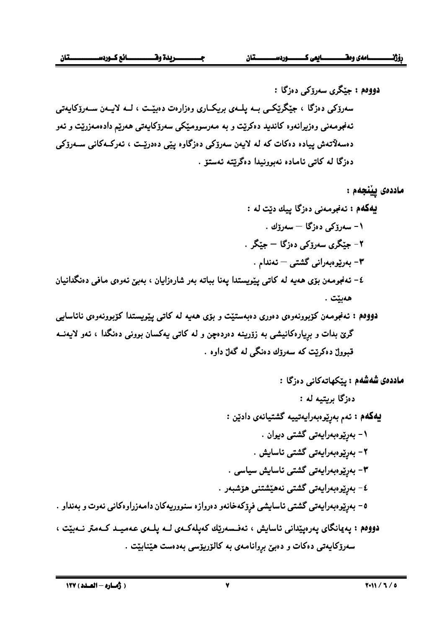$\bar{\mathbf{v}}$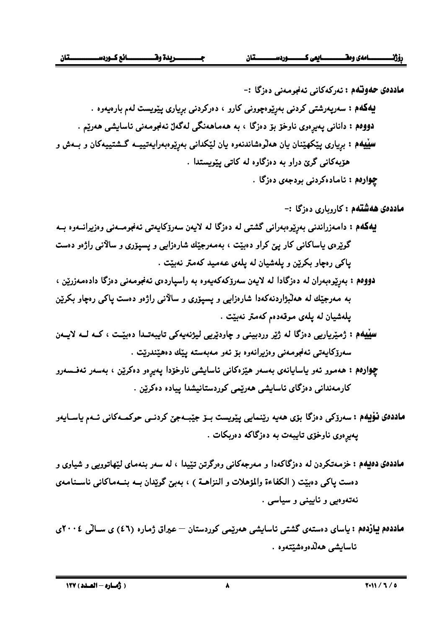- دووهم : بهرنپوهبدران له دهزگادا له لايمن سهرۆكەكەپموه به راسياردەي ئەنجومەنى دەزگا دادەمەزرين ، به مەرجیّك له هەلّبژاردنەكەدا شارەزابىي و يسيۆرى و سالانىي راژەو دەست ياكى رەچاو بكریْن يلەشيان لە يلەي موقەدەم كەمتر نەبيّت .
- سینیهم : ژمیریاریی دەزگا لە ژیر وردبینی و چاودیریی لیژنەیەکی تایبەت1ا دەبیّت ، کـﻪ لـﻪ لايـﻪن سەرۆكاپەتى ئەنجومەنى وەزىرانەوە بۆ ئەو مەبەستە يېڭ دەھپنىدرېت .
- چواردم : هەموو ئەو ياسايانەي بەسەر هێزەكانى ئاسايشى ناوخۆدا پەيرەو دەكرێن ، بەسەر ئەفسىەرو کارمەندانى دەزگاي ئاسايشى ھەرپمى كوردستانيشدا ييادە دەكرېن .
- ماددەي نۆپەم : سەرۆكى دەزگا بۆي ھەيە رېنمايى يېريست بىۆ جېبىمچى كردنـى حوكمـەكانى ئــەم ياســايەر يەيرەوي ناوخۆي تايبەت بە دەزگاكە دەربكات .
- ماددهی دهیهم : خزمهتکردن له دهزگاکهدا و مهرجهکانی وهرگرتن تپیدا ، له سهر بنهمای لپهاتوویی و شیاوی و دهست ياكي دهبيّت ( الكفاءة والمؤهلات و النزاهــة ) ، بهبيّ گويدان بــه بنــهماكاني ناســنامـهي نهتهوهيي و ناپينې و سياسي .
- ماددهم بیازدهم : پاسای دهستهی گشتی ناسایشی ههریمی کوردستان عیراق ژماره (٤٦) ی سـالی ٢٠٠٤ی ئاسايشى ھەلكەوەشتتەوە .